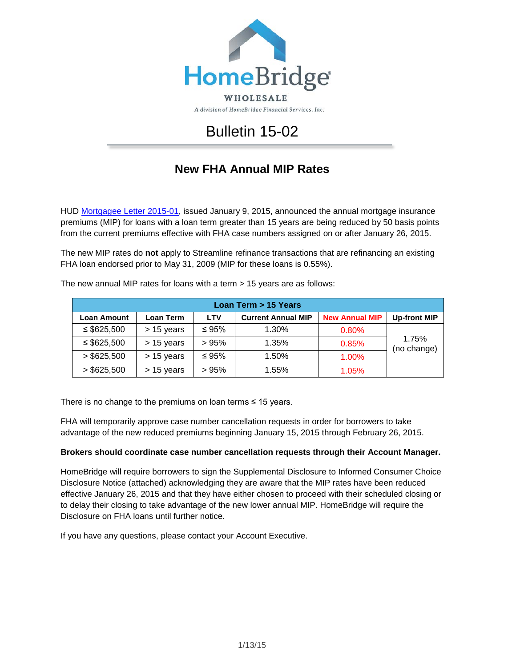

A division of HomeBridge Financial Services, Inc.

## Bulletin 15-02

## **New FHA Annual MIP Rates**

HUD [Mortgagee Letter 2015-01,](http://portal.hud.gov/hudportal/documents/huddoc?id=15-01ml.pdf) issued January 9, 2015, announced the annual mortgage insurance premiums (MIP) for loans with a loan term greater than 15 years are being reduced by 50 basis points from the current premiums effective with FHA case numbers assigned on or after January 26, 2015.

The new MIP rates do **not** apply to Streamline refinance transactions that are refinancing an existing FHA loan endorsed prior to May 31, 2009 (MIP for these loans is 0.55%).

| Loan Term > 15 Years |            |             |                           |                       |                      |  |
|----------------------|------------|-------------|---------------------------|-----------------------|----------------------|--|
| <b>Loan Amount</b>   | Loan Term  | <b>LTV</b>  | <b>Current Annual MIP</b> | <b>New Annual MIP</b> | <b>Up-front MIP</b>  |  |
| $\leq$ \$625,500     | > 15 years | $\leq 95\%$ | 1.30%                     | 0.80%                 |                      |  |
| $\leq$ \$625,500     | > 15 years | >95%        | 1.35%                     | 0.85%                 | 1.75%<br>(no change) |  |
| > \$625,500          | > 15 years | $\leq 95\%$ | 1.50%                     | 1.00%                 |                      |  |
| > \$625,500          | > 15 years | >95%        | 1.55%                     | 1.05%                 |                      |  |

The new annual MIP rates for loans with a term > 15 years are as follows:

There is no change to the premiums on loan terms  $\leq 15$  years.

FHA will temporarily approve case number cancellation requests in order for borrowers to take advantage of the new reduced premiums beginning January 15, 2015 through February 26, 2015.

## **Brokers should coordinate case number cancellation requests through their Account Manager.**

HomeBridge will require borrowers to sign the Supplemental Disclosure to Informed Consumer Choice Disclosure Notice (attached) acknowledging they are aware that the MIP rates have been reduced effective January 26, 2015 and that they have either chosen to proceed with their scheduled closing or to delay their closing to take advantage of the new lower annual MIP. HomeBridge will require the Disclosure on FHA loans until further notice.

If you have any questions, please contact your Account Executive.